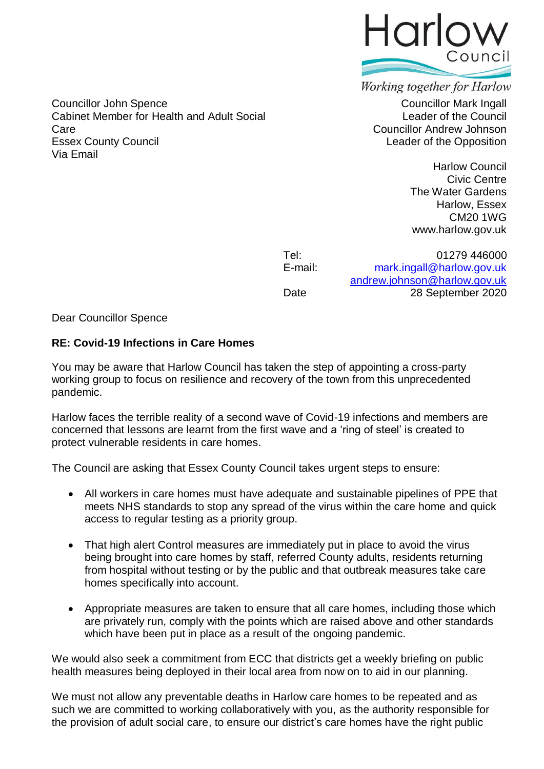

Councillor John Spence **Councillor Mark Ingall** Cabinet Member for Health and Adult Social Care Essex County Council Via Email

Working together for Harlow

Leader of the Council Councillor Andrew Johnson Leader of the Opposition

> Harlow Council Civic Centre The Water Gardens Harlow, Essex CM20 1WG www.harlow.gov.uk

Tel: 01279 446000<br>F-mail: mark ingall@harlow goy uk [mark.ingall@harlow.gov.uk](mailto:mark.ingall@harlow.gov.uk) [andrew.johnson@harlow.gov.uk](mailto:andrew.johnson@harlow.gov.uk) Date 28 September 2020

Dear Councillor Spence

## **RE: Covid-19 Infections in Care Homes**

You may be aware that Harlow Council has taken the step of appointing a cross-party working group to focus on resilience and recovery of the town from this unprecedented pandemic.

Harlow faces the terrible reality of a second wave of Covid-19 infections and members are concerned that lessons are learnt from the first wave and a 'ring of steel' is created to protect vulnerable residents in care homes.

The Council are asking that Essex County Council takes urgent steps to ensure:

- All workers in care homes must have adequate and sustainable pipelines of PPE that meets NHS standards to stop any spread of the virus within the care home and quick access to regular testing as a priority group.
- That high alert Control measures are immediately put in place to avoid the virus being brought into care homes by staff, referred County adults, residents returning from hospital without testing or by the public and that outbreak measures take care homes specifically into account.
- Appropriate measures are taken to ensure that all care homes, including those which are privately run, comply with the points which are raised above and other standards which have been put in place as a result of the ongoing pandemic.

We would also seek a commitment from ECC that districts get a weekly briefing on public health measures being deployed in their local area from now on to aid in our planning.

We must not allow any preventable deaths in Harlow care homes to be repeated and as such we are committed to working collaboratively with you, as the authority responsible for the provision of adult social care, to ensure our district's care homes have the right public